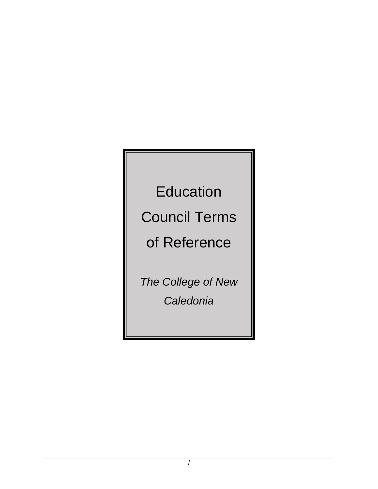**Education** 

Council Terms

of Reference

*The College of New Caledonia*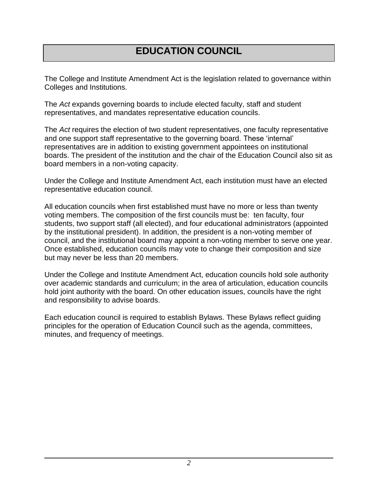# **EDUCATION COUNCIL**

The College and Institute Amendment Act is the legislation related to governance within Colleges and Institutions.

The *Act* expands governing boards to include elected faculty, staff and student representatives, and mandates representative education councils.

The *Act* requires the election of two student representatives, one faculty representative and one support staff representative to the governing board. These 'internal' representatives are in addition to existing government appointees on institutional boards. The president of the institution and the chair of the Education Council also sit as board members in a non-voting capacity.

Under the College and Institute Amendment Act, each institution must have an elected representative education council.

All education councils when first established must have no more or less than twenty voting members. The composition of the first councils must be: ten faculty, four students, two support staff (all elected), and four educational administrators (appointed by the institutional president). In addition, the president is a non-voting member of council, and the institutional board may appoint a non-voting member to serve one year. Once established, education councils may vote to change their composition and size but may never be less than 20 members.

Under the College and Institute Amendment Act, education councils hold sole authority over academic standards and curriculum; in the area of articulation, education councils hold joint authority with the board. On other education issues, councils have the right and responsibility to advise boards.

Each education council is required to establish Bylaws. These Bylaws reflect guiding principles for the operation of Education Council such as the agenda, committees, minutes, and frequency of meetings.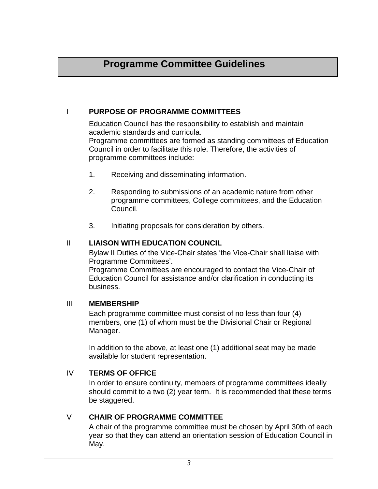## **Programme Committee Guidelines**

### I **PURPOSE OF PROGRAMME COMMITTEES**

Education Council has the responsibility to establish and maintain academic standards and curricula. Programme committees are formed as standing committees of Education Council in order to facilitate this role. Therefore, the activities of programme committees include:

- 1. Receiving and disseminating information.
- 2. Responding to submissions of an academic nature from other programme committees, College committees, and the Education Council.
- 3. Initiating proposals for consideration by others.

### II **LIAISON WITH EDUCATION COUNCIL**

Bylaw II Duties of the Vice-Chair states 'the Vice-Chair shall liaise with Programme Committees'.

Programme Committees are encouraged to contact the Vice-Chair of Education Council for assistance and/or clarification in conducting its business.

#### III **MEMBERSHIP**

Each programme committee must consist of no less than four (4) members, one (1) of whom must be the Divisional Chair or Regional Manager.

In addition to the above, at least one (1) additional seat may be made available for student representation.

## IV **TERMS OF OFFICE**

In order to ensure continuity, members of programme committees ideally should commit to a two (2) year term. It is recommended that these terms be staggered.

## V **CHAIR OF PROGRAMME COMMITTEE**

A chair of the programme committee must be chosen by April 30th of each year so that they can attend an orientation session of Education Council in May.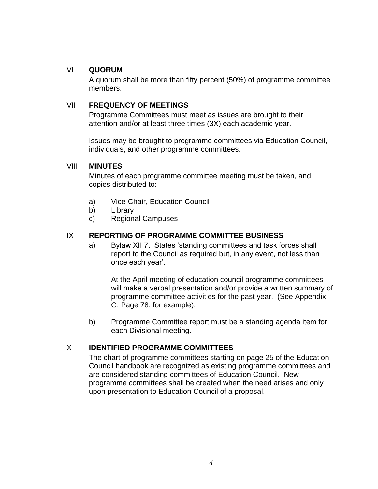## VI **QUORUM**

A quorum shall be more than fifty percent (50%) of programme committee members.

## VII **FREQUENCY OF MEETINGS**

Programme Committees must meet as issues are brought to their attention and/or at least three times (3X) each academic year.

Issues may be brought to programme committees via Education Council, individuals, and other programme committees.

## VIII **MINUTES**

Minutes of each programme committee meeting must be taken, and copies distributed to:

- a) Vice-Chair, Education Council
- b) Library
- c) Regional Campuses

## IX **REPORTING OF PROGRAMME COMMITTEE BUSINESS**

a) Bylaw XII 7. States 'standing committees and task forces shall report to the Council as required but, in any event, not less than once each year'.

At the April meeting of education council programme committees will make a verbal presentation and/or provide a written summary of programme committee activities for the past year. (See Appendix G, Page 78, for example).

b) Programme Committee report must be a standing agenda item for each Divisional meeting.

## X **IDENTIFIED PROGRAMME COMMITTEES**

The chart of programme committees starting on page 25 of the Education Council handbook are recognized as existing programme committees and are considered standing committees of Education Council. New programme committees shall be created when the need arises and only upon presentation to Education Council of a proposal.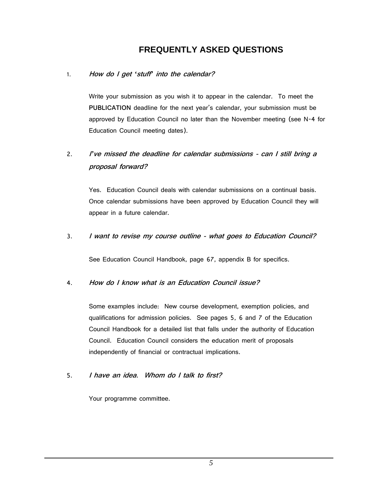## **FREQUENTLY ASKED QUESTIONS**

#### 1. **How do I get** *'***stuff***'* **into the calendar?**

Write your submission as you wish it to appear in the calendar. To meet the **PUBLICATION** deadline for the next year's calendar, your submission must be approved by Education Council no later than the November meeting (see N-4 for Education Council meeting dates).

## 2. **<sup>I</sup>***'***ve missed the deadline for calendar submissions - can I still bring a proposal forward?**

Yes. Education Council deals with calendar submissions on a continual basis. Once calendar submissions have been approved by Education Council they will appear in a future calendar.

#### 3. **I want to revise my course outline - what goes to Education Council?**

See Education Council Handbook, page 67, appendix B for specifics.

#### 4. **How do I know what is an Education Council issue?**

Some examples include: New course development, exemption policies, and qualifications for admission policies. See pages 5, 6 and 7 of the Education Council Handbook for a detailed list that falls under the authority of Education Council. Education Council considers the education merit of proposals independently of financial or contractual implications.

#### 5. **I have an idea. Whom do I talk to first?**

Your programme committee.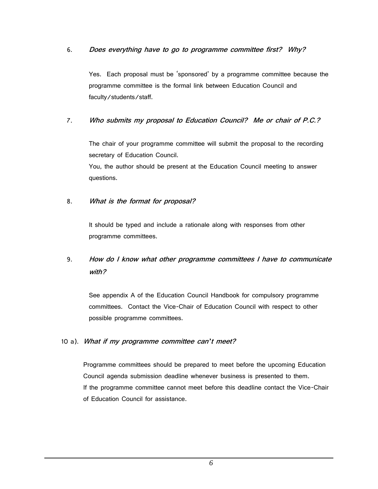#### 6. **Does everything have to go to programme committee first? Why?**

Yes. Each proposal must be 'sponsored' by a programme committee because the programme committee is the formal link between Education Council and faculty/students/staff.

#### 7. **Who submits my proposal to Education Council? Me or chair of P.C.?**

The chair of your programme committee will submit the proposal to the recording secretary of Education Council.

You, the author should be present at the Education Council meeting to answer questions.

#### 8. **What is the format for proposal?**

It should be typed and include a rationale along with responses from other programme committees.

## 9. **How do I know what other programme committees I have to communicate with?**

See appendix A of the Education Council Handbook for compulsory programme committees. Contact the Vice-Chair of Education Council with respect to other possible programme committees.

#### 10 a). **What if my programme committee can***'***t meet?**

Programme committees should be prepared to meet before the upcoming Education Council agenda submission deadline whenever business is presented to them. If the programme committee cannot meet before this deadline contact the Vice-Chair of Education Council for assistance.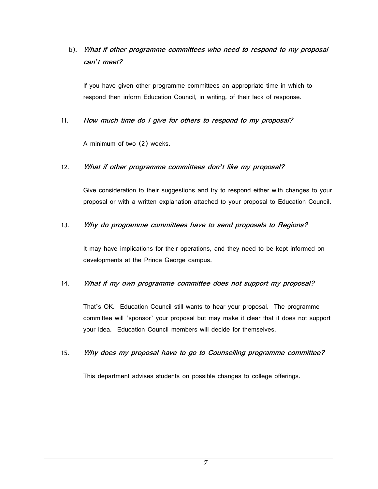b). **What if other programme committees who need to respond to my proposal can***'***t meet?**

If you have given other programme committees an appropriate time in which to respond then inform Education Council, in writing, of their lack of response.

11. **How much time do I give for others to respond to my proposal?**

A minimum of two (2) weeks.

#### 12. **What if other programme committees don***'***t like my proposal?**

Give consideration to their suggestions and try to respond either with changes to your proposal or with a written explanation attached to your proposal to Education Council.

#### 13. **Why do programme committees have to send proposals to Regions?**

It may have implications for their operations, and they need to be kept informed on developments at the Prince George campus.

#### 14. **What if my own programme committee does not support my proposal?**

That's OK. Education Council still wants to hear your proposal. The programme committee will 'sponsor' your proposal but may make it clear that it does not support your idea. Education Council members will decide for themselves.

#### 15. **Why does my proposal have to go to Counselling programme committee?**

This department advises students on possible changes to college offerings.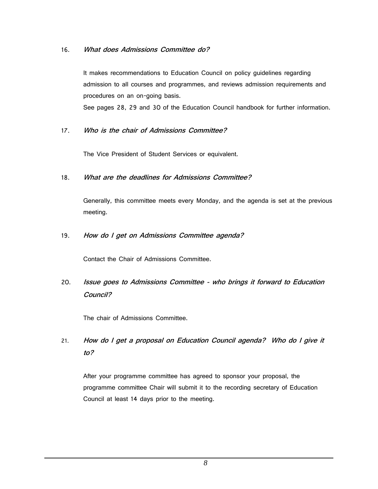#### 16. **What does Admissions Committee do?**

It makes recommendations to Education Council on policy guidelines regarding admission to all courses and programmes, and reviews admission requirements and procedures on an on-going basis.

See pages 28, 29 and 30 of the Education Council handbook for further information.

#### 17. **Who is the chair of Admissions Committee?**

The Vice President of Student Services or equivalent.

#### 18. **What are the deadlines for Admissions Committee?**

Generally, this committee meets every Monday, and the agenda is set at the previous meeting.

#### 19. **How do I get on Admissions Committee agenda?**

Contact the Chair of Admissions Committee.

## 20. **Issue goes to Admissions Committee - who brings it forward to Education Council?**

The chair of Admissions Committee.

21. **How do I get a proposal on Education Council agenda? Who do I give it to?**

After your programme committee has agreed to sponsor your proposal, the programme committee Chair will submit it to the recording secretary of Education Council at least 14 days prior to the meeting.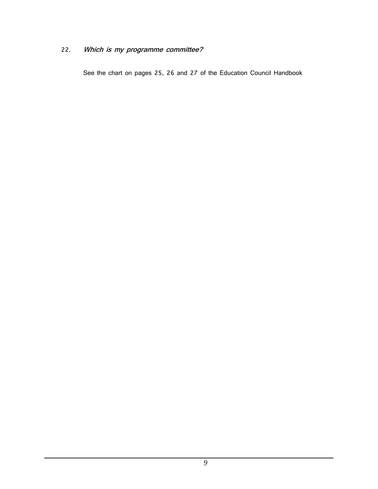## 22. **Which is my programme committee?**

See the chart on pages 25, 26 and 27 of the Education Council Handbook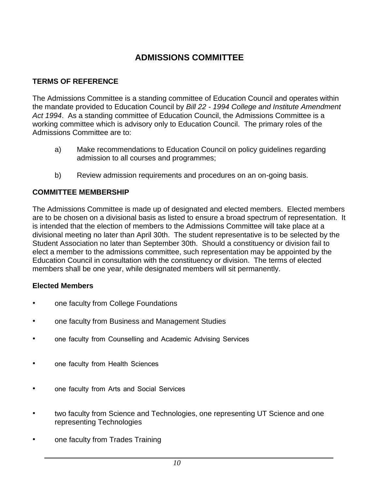## **ADMISSIONS COMMITTEE**

## **TERMS OF REFERENCE**

The Admissions Committee is a standing committee of Education Council and operates within the mandate provided to Education Council by *Bill 22 - 1994 College and Institute Amendment Act 1994*. As a standing committee of Education Council, the Admissions Committee is a working committee which is advisory only to Education Council. The primary roles of the Admissions Committee are to:

- a) Make recommendations to Education Council on policy guidelines regarding admission to all courses and programmes;
- b) Review admission requirements and procedures on an on-going basis.

## **COMMITTEE MEMBERSHIP**

The Admissions Committee is made up of designated and elected members. Elected members are to be chosen on a divisional basis as listed to ensure a broad spectrum of representation. It is intended that the election of members to the Admissions Committee will take place at a divisional meeting no later than April 30th. The student representative is to be selected by the Student Association no later than September 30th. Should a constituency or division fail to elect a member to the admissions committee, such representation may be appointed by the Education Council in consultation with the constituency or division. The terms of elected members shall be one year, while designated members will sit permanently.

## **Elected Members**

- one faculty from College Foundations
- one faculty from Business and Management Studies
- one faculty from Counselling and Academic Advising Services
- one faculty from Health Sciences
- one faculty from Arts and Social Services
- two faculty from Science and Technologies, one representing UT Science and one representing Technologies
- one faculty from Trades Training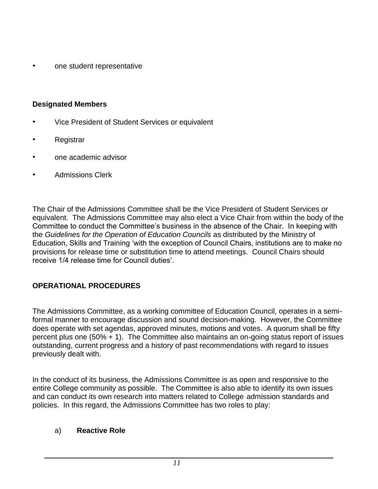• one student representative

## **Designated Members**

- Vice President of Student Services or equivalent
- **Registrar**
- one academic advisor
- Admissions Clerk

The Chair of the Admissions Committee shall be the Vice President of Student Services or equivalent. The Admissions Committee may also elect a Vice Chair from within the body of the Committee to conduct the Committee's business in the absence of the Chair. In keeping with the *Guidelines for the Operation of Education Councils* as distributed by the Ministry of Education, Skills and Training 'with the exception of Council Chairs, institutions are to make no provisions for release time or substitution time to attend meetings. Council Chairs should receive 1/4 release time for Council duties'.

## **OPERATIONAL PROCEDURES**

The Admissions Committee, as a working committee of Education Council, operates in a semiformal manner to encourage discussion and sound decision-making. However, the Committee does operate with set agendas, approved minutes, motions and votes. A quorum shall be fifty percent plus one (50% + 1). The Committee also maintains an on-going status report of issues outstanding, current progress and a history of past recommendations with regard to issues previously dealt with.

In the conduct of its business, the Admissions Committee is as open and responsive to the entire College community as possible. The Committee is also able to identify its own issues and can conduct its own research into matters related to College admission standards and policies. In this regard, the Admissions Committee has two roles to play:

## a) **Reactive Role**